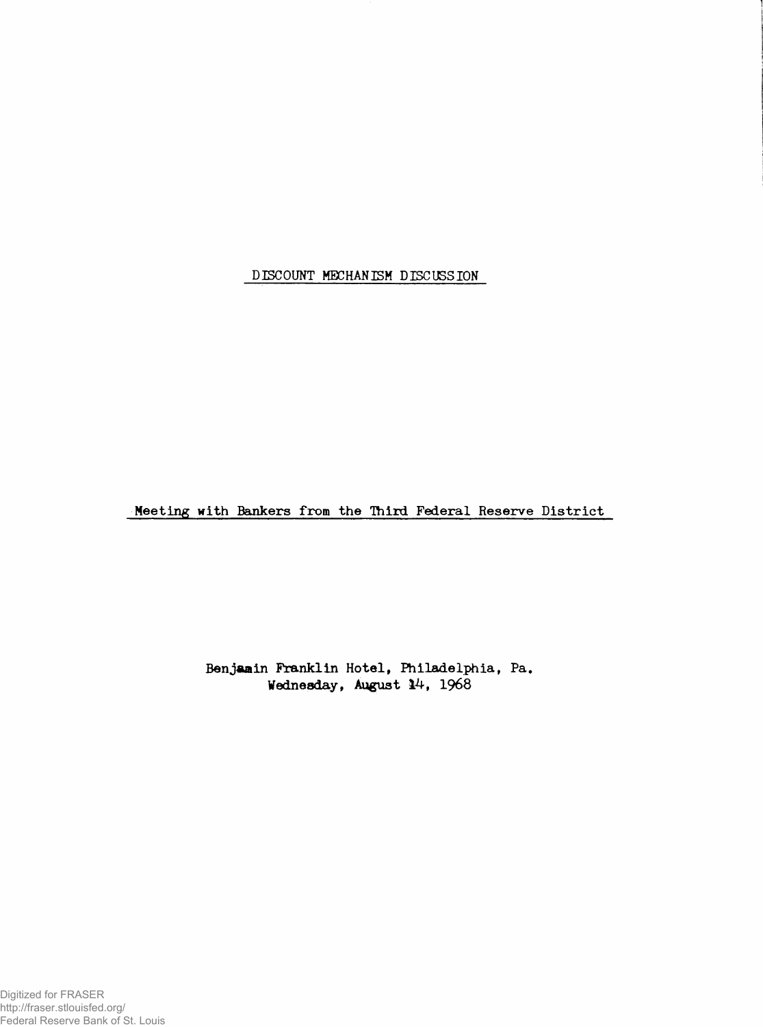**DISCOUNT MECHANISM DISCUSSION**

**Meeting with Bankers from the Third Federal Reserve District**

**Benjamin Franklin Hotel, Philadelphia, Pa. Wednesday, August 14, 1968**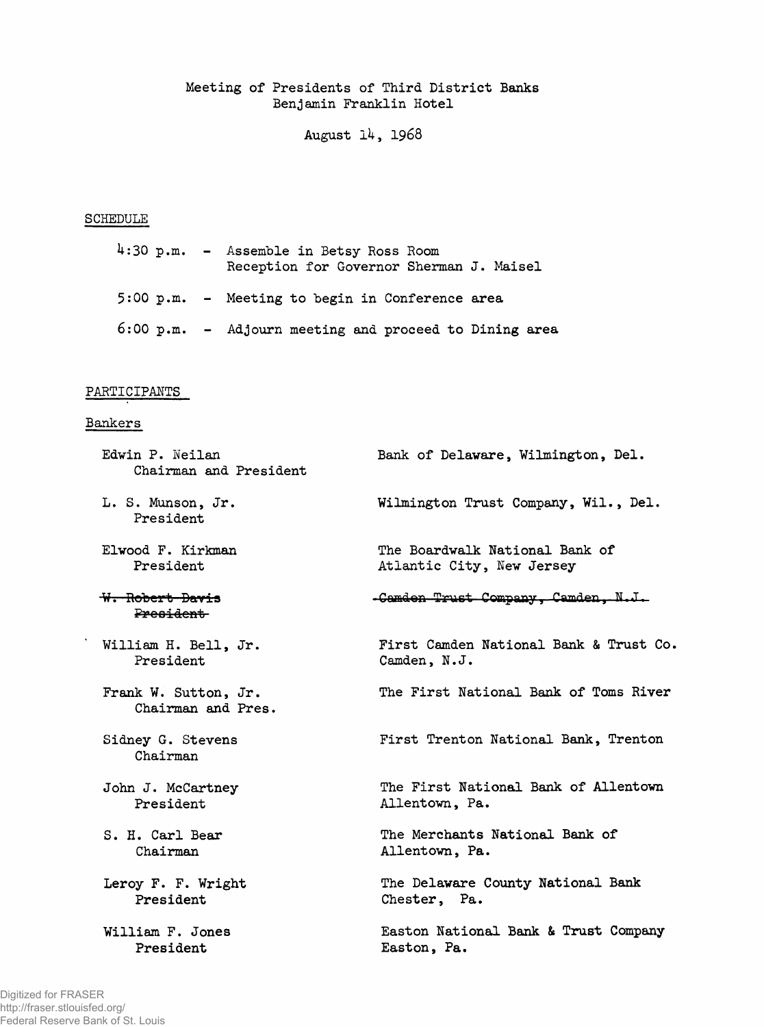**Meeting of Presidents of Third District Banks Benjamin Franklin Hotel**

**August** *lk,* 1968

## **SCHEDULE**

|  | 4:30 p.m. - Assemble in Betsy Ross Room<br>Reception for Governor Sherman J. Maisel |
|--|-------------------------------------------------------------------------------------|
|  | $5:00$ p.m. $-$ Meeting to begin in Conference area                                 |
|  | $6:00$ p.m. - Adjourn meeting and proceed to Dining area                            |

## **PARTICIPANTS**

## **Bankers**

 $\ddot{\phantom{a}}$ 

| Edwin P. Neilan<br>Chairman and President  | Bank of Delaware, Wilmington, Del.     |
|--------------------------------------------|----------------------------------------|
| L. S. Munson, Jr.<br>President             | Wilmington Trust Company, Wil., Del.   |
| Elwood F. Kirkman                          | The Boardwalk National Bank of         |
| President                                  | Atlantic City, New Jersey              |
| <del>W. Robert Davis</del><br>President    | -Camden Trust Company, Camden, N.J.    |
| William H. Bell, Jr.                       | First Camden National Bank & Trust Co. |
| President                                  | Camden, N.J.                           |
| Frank W. Sutton, Jr.<br>Chairman and Pres. | The First National Bank of Toms River  |
| Sidney G. Stevens<br>Chairman              | First Trenton National Bank, Trenton   |
| John J. McCartney                          | The First National Bank of Allentown   |
| President                                  | Allentown, Pa.                         |
| S. H. Carl Bear                            | The Merchants National Bank of         |
| Chairman                                   | Allentown, Pa.                         |
| Leroy F. F. Wright                         | The Delaware County National Bank      |
| President                                  | Chester, Pa.                           |
| William F. Jones                           | Easton National Bank & Trust Company   |
| President                                  | Easton, Pa.                            |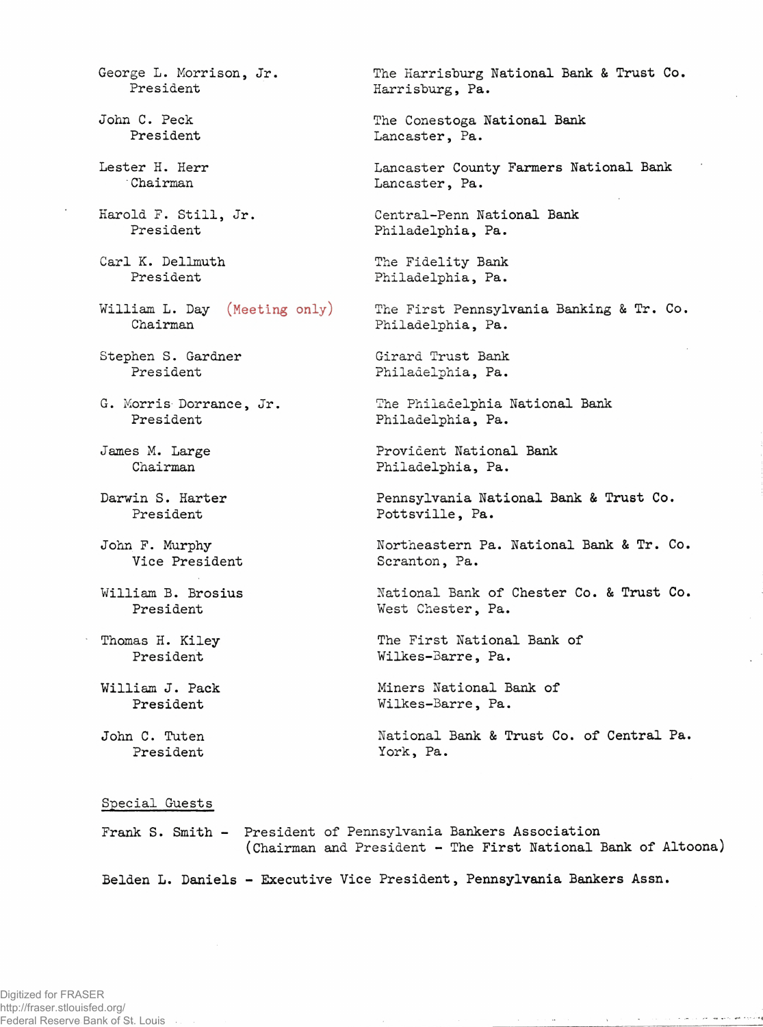**John F. Murphy President President President John C. Tuten President Special Guests** Digitized for FRASER http://fraser.stlouisfed.org/ Federal Reserve Bank of St. Louis .

**George L. Morrison, Jr. President John C. Peck President Lester H. Herr 'Chairman Harold F. Still, Jr. President Carl K. Dellmuth President William L. Day (Meeting only) Chairman** Stephen S. Gardner **President G. Morris Dorrance, Jr. President James M. Large Chairman** Darwin S. Harter **President Vice President William B. Brosius Thomas H. Kiley William J. Pack**

**The Harrisburg National Bank & Trust Co. Harrisburg, Pa.**

**The Conestoga National Bank Lancaster, Pa.**

**Lancaster County Farmers National Bank Lancaster, Pa.**

**Central-Penn National Bank Philadelphia, Pa.**

**The Fidelity Bank Philadelphia, Pa.**

**The First Pennsylvania Banking & Tr. Co. Philadelphia, Pa.**

**Girard Trust Bank Philadelphia, Pa.**

**The Philadelphia National Bank Philadelphia, Pa.**

**Provident National Bank Philadelphia, Pa.**

**Pennsylvania National Bank & Trust Co. Pottsville, Pa.**

**Northeastern Pa. National Bank & Tr. Co. Scranton, Pa.**

**National Bank of Chester Co. & Trust Co. West Chester, Pa.**

**The First National Bank of Wilkes-Barre, Pa.**

**Miners National Bank of Wilkes-Barre, Pa.**

**National Bank & Trust Co. of Central Pa. York, Pa.**

companies are no provide an equipment

 $\mathbf{A}^{\mathcal{A}}_{\mathcal{A}} = \mathbf{A}^{\mathcal{A}}_{\mathcal{A}} = \mathbf{A}^{\mathcal{A}}_{\mathcal{A}} = \mathbf{A}^{\mathcal{A}}_{\mathcal{A}} = \mathbf{A}^{\mathcal{A}}_{\mathcal{A}} = \mathbf{A}^{\mathcal{A}}_{\mathcal{A}} = \mathbf{A}^{\mathcal{A}}_{\mathcal{A}} = \mathbf{A}^{\mathcal{A}}_{\mathcal{A}}$ 

**Frank S. Smith - President of Pennsylvania Bankers Association (Chairman and President - The First National Bank of Altoona)**

**Beiden L. Daniels - Executive Vice President, Pennsylvania Bankers Assn.**